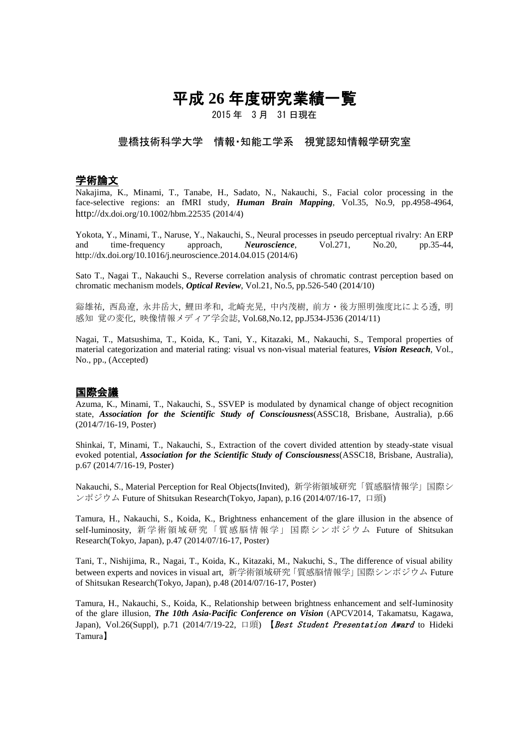# 平成 **26** 年度研究業績一覧

2015 年 3 月 31 日現在

### 豊橋技術科学大学 情報・知能工学系 視覚認知情報学研究室

### 学術論文

Nakajima, K., Minami, T., Tanabe, H., Sadato, N., Nakauchi, S., Facial color processing in the face-selective regions: an fMRI study, *Human Brain Mapping*, Vol.35, No.9, pp.4958-4964, http://dx.doi.org/10.1002/hbm.22535 (2014/4)

Yokota, Y., Minami, T., Naruse, Y., Nakauchi, S., Neural processes in pseudo perceptual rivalry: An ERP and time-frequency approach, *Neuroscience*, Vol.271, No.20, pp.35-44, http://dx.doi.org/10.1016/j.neuroscience.2014.04.015 (2014/6)

Sato T., Nagai T., Nakauchi S., Reverse correlation analysis of chromatic contrast perception based on chromatic mechanism models, *Optical Review*, Vol.21, No.5, pp.526-540 (2014/10)

谿雄祐, 西島遼, 永井岳大, 鯉田孝和, 北崎充晃, 中内茂樹, 前方・後方照明強度比による透, 明 感知 覚の変化, 映像情報メディア学会誌, Vol.68,No.12, pp.J534-J536 (2014/11)

Nagai, T., Matsushima, T., Koida, K., Tani, Y., Kitazaki, M., Nakauchi, S., Temporal properties of material categorization and material rating: visual vs non-visual material features, *Vision Reseach*, Vol., No., pp., (Accepted)

#### 国際会議

Azuma, K., Minami, T., Nakauchi, S., SSVEP is modulated by dynamical change of object recognition state, *Association for the Scientific Study of Consciousness*(ASSC18, Brisbane, Australia), p.66 (2014/7/16-19, Poster)

Shinkai, T, Minami, T., Nakauchi, S., Extraction of the covert divided attention by steady-state visual evoked potential, *Association for the Scientific Study of Consciousness*(ASSC18, Brisbane, Australia), p.67 (2014/7/16-19, Poster)

Nakauchi, S., Material Perception for Real Objects(Invited), 新学術領域研究「質感脳情報学」国際シ ンポジウム Future of Shitsukan Research(Tokyo, Japan), p.16 (2014/07/16-17, 口頭)

Tamura, H., Nakauchi, S., Koida, K., Brightness enhancement of the glare illusion in the absence of self-luminosity, 新学術領域研究「質感脳情報学」国際シンポジウム Future of Shitsukan Research(Tokyo, Japan), p.47 (2014/07/16-17, Poster)

Tani, T., Nishijima, R., Nagai, T., Koida, K., Kitazaki, M., Nakuchi, S., The difference of visual ability between experts and novices in visual art, 新学術領域研究「質感脳情報学」国際シンポジウム Future of Shitsukan Research(Tokyo, Japan), p.48 (2014/07/16-17, Poster)

Tamura, H., Nakauchi, S., Koida, K., Relationship between brightness enhancement and self-luminosity of the glare illusion, *The 10th Asia-Pacific Conference on Vision* (APCV2014, Takamatsu, Kagawa, Japan), Vol.26(Suppl), p.71 (2014/7/19-22, 口頭) 【Best Student Presentation Award to Hideki Tamura】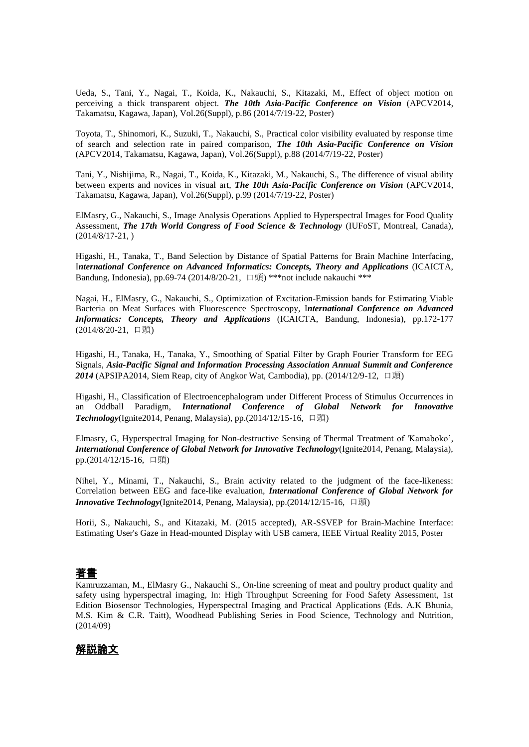Ueda, S., Tani, Y., Nagai, T., Koida, K., Nakauchi, S., Kitazaki, M., Effect of object motion on perceiving a thick transparent object. *The 10th Asia-Pacific Conference on Vision* (APCV2014, Takamatsu, Kagawa, Japan), Vol.26(Suppl), p.86 (2014/7/19-22, Poster)

Toyota, T., Shinomori, K., Suzuki, T., Nakauchi, S., Practical color visibility evaluated by response time of search and selection rate in paired comparison, *The 10th Asia-Pacific Conference on Vision* (APCV2014, Takamatsu, Kagawa, Japan), Vol.26(Suppl), p.88 (2014/7/19-22, Poster)

Tani, Y., Nishijima, R., Nagai, T., Koida, K., Kitazaki, M., Nakauchi, S., The difference of visual ability between experts and novices in visual art, *The 10th Asia-Pacific Conference on Vision* (APCV2014, Takamatsu, Kagawa, Japan), Vol.26(Suppl), p.99 (2014/7/19-22, Poster)

ElMasry, G., Nakauchi, S., Image Analysis Operations Applied to Hyperspectral Images for Food Quality Assessment, *The 17th World Congress of Food Science & Technology* (IUFoST, Montreal, Canada), (2014/8/17-21, )

Higashi, H., Tanaka, T., Band Selection by Distance of Spatial Patterns for Brain Machine Interfacing, I*nternational Conference on Advanced Informatics: Concepts, Theory and Applications* (ICAICTA, Bandung, Indonesia), pp.69-74 (2014/8/20-21, 口頭) \*\*\* not include nakauchi \*\*\*

Nagai, H., ElMasry, G., Nakauchi, S., Optimization of Excitation-Emission bands for Estimating Viable Bacteria on Meat Surfaces with Fluorescence Spectroscopy, I*nternational Conference on Advanced Informatics: Concepts, Theory and Applications* (ICAICTA, Bandung, Indonesia), pp.172-177 (2014/8/20-21, 口頭)

Higashi, H., Tanaka, H., Tanaka, Y., Smoothing of Spatial Filter by Graph Fourier Transform for EEG Signals, *Asia-Pacific Signal and Information Processing Association Annual Summit and Conference 2014* (APSIPA2014, Siem Reap, city of Angkor Wat, Cambodia), pp. (2014/12/9-12, 口頭)

Higashi, H., Classification of Electroencephalogram under Different Process of Stimulus Occurrences in an Oddball Paradigm, *International Conference of Global Network for Innovative Technology*(Ignite2014, Penang, Malaysia), pp.(2014/12/15-16, 口頭)

Elmasry, G, Hyperspectral Imaging for Non-destructive Sensing of Thermal Treatment of 'Kamaboko', *International Conference of Global Network for Innovative Technology*(Ignite2014, Penang, Malaysia), pp.(2014/12/15-16, 口頭)

Nihei, Y., Minami, T., Nakauchi, S., Brain activity related to the judgment of the face-likeness: Correlation between EEG and face-like evaluation, *International Conference of Global Network for Innovative Technology*(Ignite2014, Penang, Malaysia), pp.(2014/12/15-16, 口頭)

Horii, S., Nakauchi, S., and Kitazaki, M. (2015 accepted), AR-SSVEP for Brain-Machine Interface: Estimating User's Gaze in Head-mounted Display with USB camera, IEEE Virtual Reality 2015, Poster

# 著書

Kamruzzaman, M., ElMasry G., Nakauchi S., On-line screening of meat and poultry product quality and safety using hyperspectral imaging, In: High Throughput Screening for Food Safety Assessment, 1st Edition Biosensor Technologies, Hyperspectral Imaging and Practical Applications (Eds. A.K Bhunia, M.S. Kim & C.R. Taitt), Woodhead Publishing Series in Food Science, Technology and Nutrition, (2014/09)

# 解説論文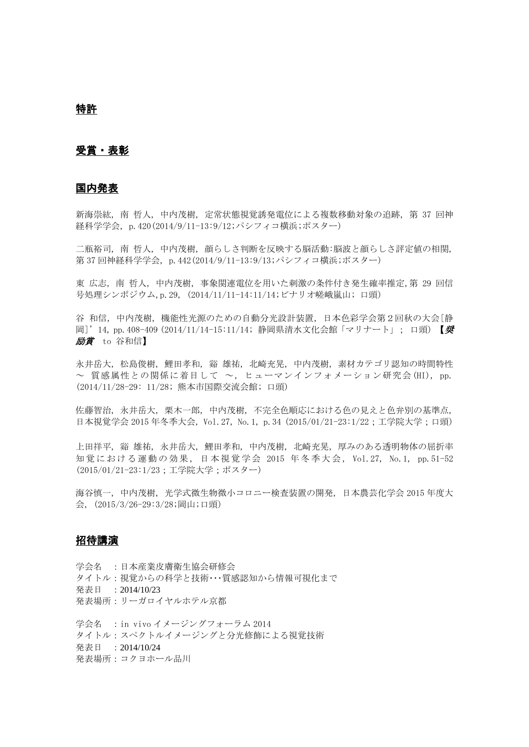## 特許

#### 受賞・表彰

#### 国内発表

新海崇紘, 南 哲人, 中内茂樹, 定常状態視覚誘発電位による複数移動対象の追跡, 第 37 回神 経科学学会, p.420(2014/9/11-13:9/12;パシフィコ横浜;ポスター)

二瓶裕司, 南 哲人, 中内茂樹, 顔らしさ判断を反映する脳活動:脳波と顔らしさ評定値の相関, 第 37 回神経科学学会, p.442(2014/9/11-13:9/13;パシフィコ横浜;ポスター)

東 広志, 南 哲人, 中内茂樹, 事象関連電位を用いた刺激の条件付き発生確率推定,第 29 回信 号処理シンポジウム,p.29, (2014/11/11-14:11/14;ビナリオ嵯峨嵐山; 口頭)

谷 和信, 中内茂樹, 機能性光源のための自動分光設計装置, 日本色彩学会第2回秋の大会[静 岡]'14, pp.408-409 (2014/11/14-15:11/14; 静岡県清水文化会館「マリナート」; 口頭) 【奨 励賞 to 谷和信】

永井岳大, 松島俊樹, 鯉田孝和, 谿 雄祐, 北崎充晃, 中内茂樹, 素材カテゴリ認知の時間特性 ~ 質感属性との関係に着目して ~, ヒューマンインフォメーション研究会(HI), pp. (2014/11/28-29: 11/28; 熊本市国際交流会館; 口頭)

佐藤智治, 永井岳大, 栗木一郎, 中内茂樹, 不完全色順応における色の見えと色弁別の基準点, 日本視覚学会 2015 年冬季大会, Vol.27, No.1, p.34 (2015/01/21-23:1/22;工学院大学;口頭)

上田祥平, 谿 雄祐, 永井岳大, 鯉田孝和, 中内茂樹, 北崎充晃, 厚みのある透明物体の屈折率 知覚における運動の効果, 日本視覚学会 2015 年冬季大会, Vol.27, No.1, pp.51-52 (2015/01/21-23:1/23;工学院大学;ポスター)

海谷慎一, 中内茂樹, 光学式微生物微小コロニー検査装置の開発, 日本農芸化学会 2015 年度大 会, (2015/3/26-29:3/28;岡山;口頭)

### 招待講演

学会名 :日本産業皮膚衛生協会研修会 タイトル:視覚からの科学と技術・・・質感認知から情報可視化まで 発表日 :2014/10/23 発表場所:リーガロイヤルホテル京都

学会名 :in vivo イメージングフォーラム 2014 タイトル:スペクトルイメージングと分光修飾による視覚技術 発表日 :2014/10/24 発表場所:コクヨホール品川